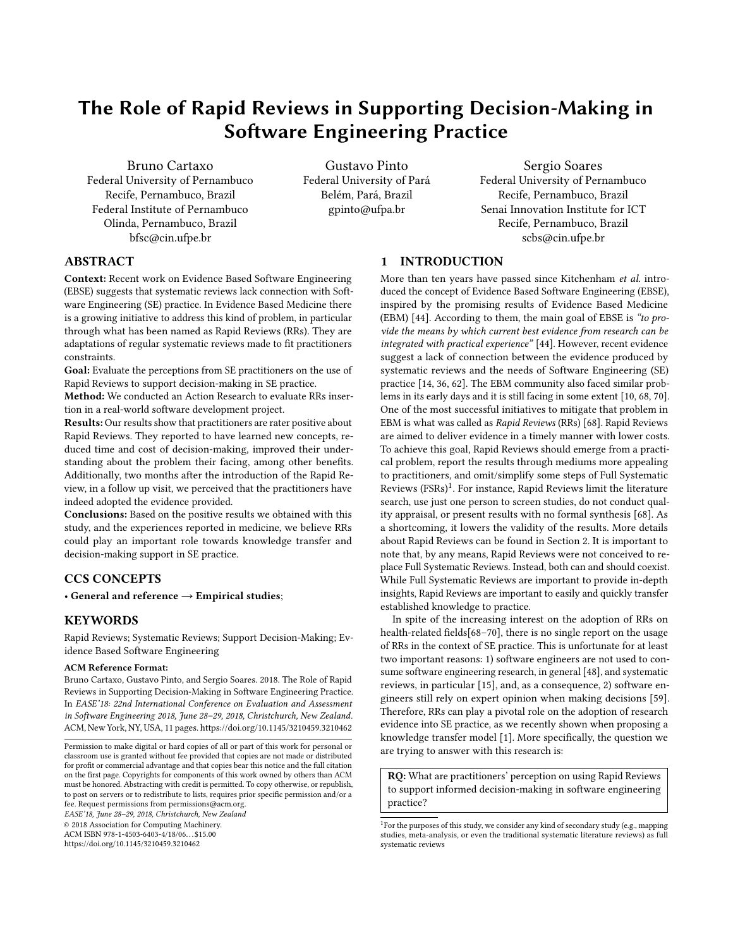# The Role of Rapid Reviews in Supporting Decision-Making in Software Engineering Practice

Bruno Cartaxo Federal University of Pernambuco Recife, Pernambuco, Brazil Federal Institute of Pernambuco Olinda, Pernambuco, Brazil bfsc@cin.ufpe.br

Gustavo Pinto Federal University of Pará Belém, Pará, Brazil gpinto@ufpa.br

Sergio Soares Federal University of Pernambuco Recife, Pernambuco, Brazil Senai Innovation Institute for ICT Recife, Pernambuco, Brazil scbs@cin.ufpe.br

# ABSTRACT

Context: Recent work on Evidence Based Software Engineering (EBSE) suggests that systematic reviews lack connection with Software Engineering (SE) practice. In Evidence Based Medicine there is a growing initiative to address this kind of problem, in particular through what has been named as Rapid Reviews (RRs). They are adaptations of regular systematic reviews made to fit practitioners constraints.

Goal: Evaluate the perceptions from SE practitioners on the use of Rapid Reviews to support decision-making in SE practice.

Method: We conducted an Action Research to evaluate RRs insertion in a real-world software development project.

Results: Our results show that practitioners are rater positive about Rapid Reviews. They reported to have learned new concepts, reduced time and cost of decision-making, improved their understanding about the problem their facing, among other benefits. Additionally, two months after the introduction of the Rapid Review, in a follow up visit, we perceived that the practitioners have indeed adopted the evidence provided.

Conclusions: Based on the positive results we obtained with this study, and the experiences reported in medicine, we believe RRs could play an important role towards knowledge transfer and decision-making support in SE practice.

# CCS CONCEPTS

• General and reference  $\rightarrow$  Empirical studies;

# **KEYWORDS**

Rapid Reviews; Systematic Reviews; Support Decision-Making; Evidence Based Software Engineering

#### ACM Reference Format:

Bruno Cartaxo, Gustavo Pinto, and Sergio Soares. 2018. The Role of Rapid Reviews in Supporting Decision-Making in Software Engineering Practice. In EASE'18: 22nd International Conference on Evaluation and Assessment in Software Engineering 2018, June 28–29, 2018, Christchurch, New Zealand. ACM, New York, NY, USA, [11](#page-10-0) pages.<https://doi.org/10.1145/3210459.3210462>

EASE'18, June 28–29, 2018, Christchurch, New Zealand

© 2018 Association for Computing Machinery.

ACM ISBN 978-1-4503-6403-4/18/06. . . \$15.00

<https://doi.org/10.1145/3210459.3210462>

#### 1 INTRODUCTION

More than ten years have passed since Kitchenham et al. introduced the concept of Evidence Based Software Engineering (EBSE), inspired by the promising results of Evidence Based Medicine (EBM) [\[44\]](#page-10-1). According to them, the main goal of EBSE is "to provide the means by which current best evidence from research can be integrated with practical experience" [\[44\]](#page-10-1). However, recent evidence suggest a lack of connection between the evidence produced by systematic reviews and the needs of Software Engineering (SE) practice [\[14,](#page-10-2) [36,](#page-10-3) [62\]](#page-10-4). The EBM community also faced similar problems in its early days and it is still facing in some extent [\[10,](#page-9-0) [68,](#page-10-5) [70\]](#page-10-6). One of the most successful initiatives to mitigate that problem in EBM is what was called as Rapid Reviews (RRs) [\[68\]](#page-10-5). Rapid Reviews are aimed to deliver evidence in a timely manner with lower costs. To achieve this goal, Rapid Reviews should emerge from a practical problem, report the results through mediums more appealing to practitioners, and omit/simplify some steps of Full Systematic Reviews (FSRs)<sup>[1](#page-0-0)</sup>. For instance, Rapid Reviews limit the literature search, use just one person to screen studies, do not conduct quality appraisal, or present results with no formal synthesis [\[68\]](#page-10-5). As a shortcoming, it lowers the validity of the results. More details about Rapid Reviews can be found in Section [2.](#page-1-0) It is important to note that, by any means, Rapid Reviews were not conceived to replace Full Systematic Reviews. Instead, both can and should coexist. While Full Systematic Reviews are important to provide in-depth insights, Rapid Reviews are important to easily and quickly transfer established knowledge to practice.

In spite of the increasing interest on the adoption of RRs on health-related fields[\[68–](#page-10-5)[70\]](#page-10-6), there is no single report on the usage of RRs in the context of SE practice. This is unfortunate for at least two important reasons: 1) software engineers are not used to consume software engineering research, in general [\[48\]](#page-10-7), and systematic reviews, in particular [\[15\]](#page-10-8), and, as a consequence, 2) software engineers still rely on expert opinion when making decisions [\[59\]](#page-10-9). Therefore, RRs can play a pivotal role on the adoption of research evidence into SE practice, as we recently shown when proposing a knowledge transfer model [\[1\]](#page-9-1). More specifically, the question we are trying to answer with this research is:

RQ: What are practitioners' perception on using Rapid Reviews to support informed decision-making in software engineering practice?

Permission to make digital or hard copies of all or part of this work for personal or classroom use is granted without fee provided that copies are not made or distributed for profit or commercial advantage and that copies bear this notice and the full citation on the first page. Copyrights for components of this work owned by others than ACM must be honored. Abstracting with credit is permitted. To copy otherwise, or republish, to post on servers or to redistribute to lists, requires prior specific permission and/or a fee. Request permissions from permissions@acm.org.

<span id="page-0-0"></span><sup>&</sup>lt;sup>1</sup>For the purposes of this study, we consider any kind of secondary study (e.g., mapping studies, meta-analysis, or even the traditional systematic literature reviews) as full systematic reviews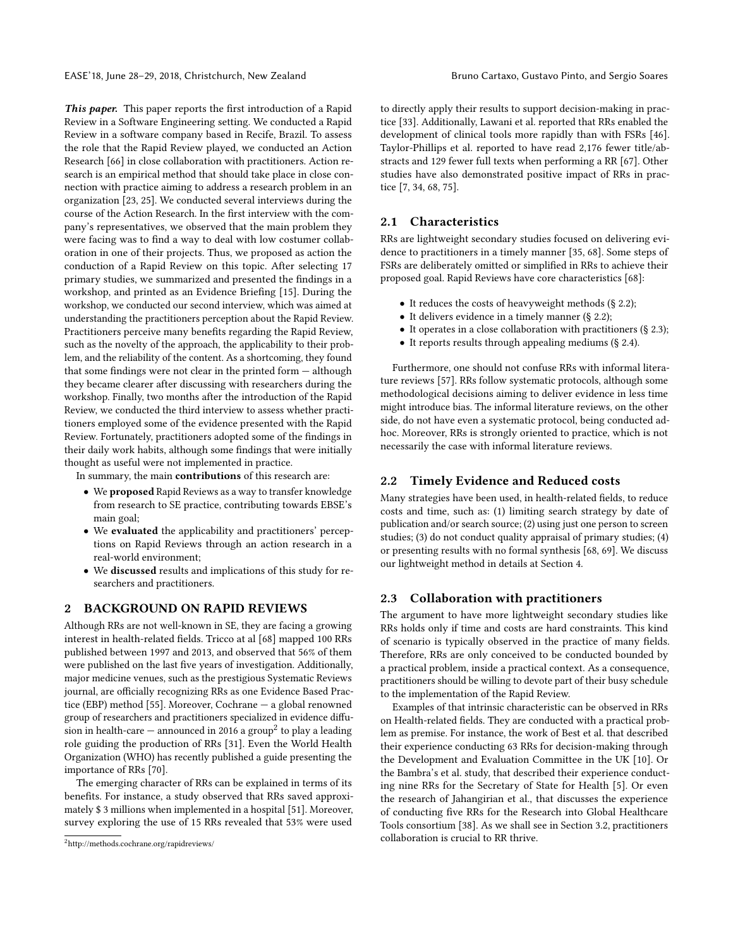EASE'18, June 28-29, 2018, Christchurch, New Zealand Bruno Cartaxo, Gustavo Pinto, and Sergio Soares

This paper. This paper reports the first introduction of a Rapid Review in a Software Engineering setting. We conducted a Rapid Review in a software company based in Recife, Brazil. To assess the role that the Rapid Review played, we conducted an Action Research [\[66\]](#page-10-10) in close collaboration with practitioners. Action research is an empirical method that should take place in close connection with practice aiming to address a research problem in an organization [\[23,](#page-10-11) [25\]](#page-10-12). We conducted several interviews during the course of the Action Research. In the first interview with the company's representatives, we observed that the main problem they were facing was to find a way to deal with low costumer collaboration in one of their projects. Thus, we proposed as action the conduction of a Rapid Review on this topic. After selecting 17 primary studies, we summarized and presented the findings in a workshop, and printed as an Evidence Briefing [\[15\]](#page-10-8). During the workshop, we conducted our second interview, which was aimed at understanding the practitioners perception about the Rapid Review. Practitioners perceive many benefits regarding the Rapid Review, such as the novelty of the approach, the applicability to their problem, and the reliability of the content. As a shortcoming, they found that some findings were not clear in the printed form — although they became clearer after discussing with researchers during the workshop. Finally, two months after the introduction of the Rapid Review, we conducted the third interview to assess whether practitioners employed some of the evidence presented with the Rapid Review. Fortunately, practitioners adopted some of the findings in their daily work habits, although some findings that were initially thought as useful were not implemented in practice.

In summary, the main contributions of this research are:

- We proposed Rapid Reviews as a way to transfer knowledge from research to SE practice, contributing towards EBSE's main goal;
- We evaluated the applicability and practitioners' perceptions on Rapid Reviews through an action research in a real-world environment;
- We discussed results and implications of this study for researchers and practitioners.

### <span id="page-1-0"></span>2 BACKGROUND ON RAPID REVIEWS

Although RRs are not well-known in SE, they are facing a growing interest in health-related fields. Tricco at al [\[68\]](#page-10-5) mapped 100 RRs published between 1997 and 2013, and observed that 56% of them were published on the last five years of investigation. Additionally, major medicine venues, such as the prestigious Systematic Reviews journal, are officially recognizing RRs as one Evidence Based Practice (EBP) method [\[55\]](#page-10-13). Moreover, Cochrane — a global renowned group of researchers and practitioners specialized in evidence diffu-sion in health-care — announced in [2](#page-1-1)016 a group $^2$  to play a leading role guiding the production of RRs [\[31\]](#page-10-14). Even the World Health Organization (WHO) has recently published a guide presenting the importance of RRs [\[70\]](#page-10-6).

The emerging character of RRs can be explained in terms of its benefits. For instance, a study observed that RRs saved approximately \$ 3 millions when implemented in a hospital [\[51\]](#page-10-15). Moreover, survey exploring the use of 15 RRs revealed that 53% were used

to directly apply their results to support decision-making in practice [\[33\]](#page-10-16). Additionally, Lawani et al. reported that RRs enabled the development of clinical tools more rapidly than with FSRs [\[46\]](#page-10-17). Taylor-Phillips et al. reported to have read 2,176 fewer title/abstracts and 129 fewer full texts when performing a RR [\[67\]](#page-10-18). Other studies have also demonstrated positive impact of RRs in practice [\[7,](#page-9-2) [34,](#page-10-19) [68,](#page-10-5) [75\]](#page-10-20).

#### 2.1 Characteristics

RRs are lightweight secondary studies focused on delivering evidence to practitioners in a timely manner [\[35,](#page-10-21) [68\]](#page-10-5). Some steps of FSRs are deliberately omitted or simplified in RRs to achieve their proposed goal. Rapid Reviews have core characteristics [\[68\]](#page-10-5):

- It reduces the costs of heavyweight methods (§ [2.2\)](#page-1-2);
- It delivers evidence in a timely manner (§ [2.2\)](#page-1-2);
- It operates in a close collaboration with practitioners (§ [2.3\)](#page-1-3);
- It reports results through appealing mediums (§ [2.4\)](#page-2-0).

Furthermore, one should not confuse RRs with informal literature reviews [\[57\]](#page-10-22). RRs follow systematic protocols, although some methodological decisions aiming to deliver evidence in less time might introduce bias. The informal literature reviews, on the other side, do not have even a systematic protocol, being conducted adhoc. Moreover, RRs is strongly oriented to practice, which is not necessarily the case with informal literature reviews.

# <span id="page-1-2"></span>2.2 Timely Evidence and Reduced costs

Many strategies have been used, in health-related fields, to reduce costs and time, such as: (1) limiting search strategy by date of publication and/or search source; (2) using just one person to screen studies; (3) do not conduct quality appraisal of primary studies; (4) or presenting results with no formal synthesis [\[68,](#page-10-5) [69\]](#page-10-23). We discuss our lightweight method in details at Section [4.](#page-3-0)

# <span id="page-1-3"></span>2.3 Collaboration with practitioners

The argument to have more lightweight secondary studies like RRs holds only if time and costs are hard constraints. This kind of scenario is typically observed in the practice of many fields. Therefore, RRs are only conceived to be conducted bounded by a practical problem, inside a practical context. As a consequence, practitioners should be willing to devote part of their busy schedule to the implementation of the Rapid Review.

Examples of that intrinsic characteristic can be observed in RRs on Health-related fields. They are conducted with a practical problem as premise. For instance, the work of Best et al. that described their experience conducting 63 RRs for decision-making through the Development and Evaluation Committee in the UK [\[10\]](#page-9-0). Or the Bambra's et al. study, that described their experience conducting nine RRs for the Secretary of State for Health [\[5\]](#page-9-3). Or even the research of Jahangirian et al., that discusses the experience of conducting five RRs for the Research into Global Healthcare Tools consortium [\[38\]](#page-10-24). As we shall see in Section [3.2,](#page-2-1) practitioners collaboration is crucial to RR thrive.

<span id="page-1-1"></span><sup>2</sup><http://methods.cochrane.org/rapidreviews/>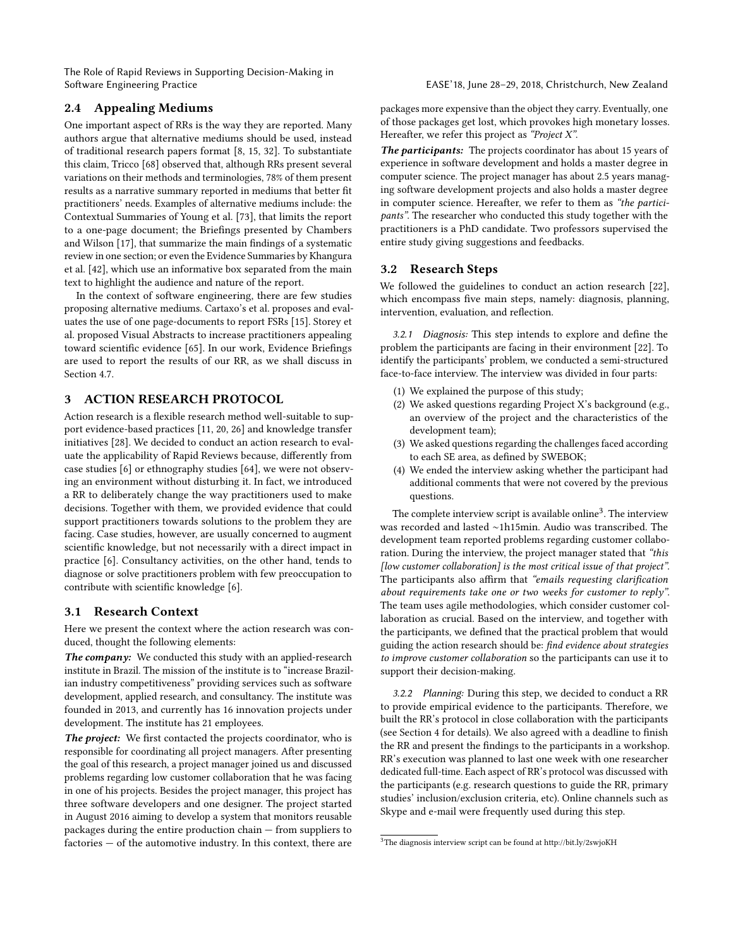# <span id="page-2-0"></span>2.4 Appealing Mediums

One important aspect of RRs is the way they are reported. Many authors argue that alternative mediums should be used, instead of traditional research papers format [\[8,](#page-9-4) [15,](#page-10-8) [32\]](#page-10-25). To substantiate this claim, Tricco [\[68\]](#page-10-5) observed that, although RRs present several variations on their methods and terminologies, 78% of them present results as a narrative summary reported in mediums that better fit practitioners' needs. Examples of alternative mediums include: the Contextual Summaries of Young et al. [\[73\]](#page-10-26), that limits the report to a one-page document; the Briefings presented by Chambers and Wilson [\[17\]](#page-10-27), that summarize the main findings of a systematic review in one section; or even the Evidence Summaries by Khangura et al. [\[42\]](#page-10-28), which use an informative box separated from the main text to highlight the audience and nature of the report.

In the context of software engineering, there are few studies proposing alternative mediums. Cartaxo's et al. proposes and evaluates the use of one page-documents to report FSRs [\[15\]](#page-10-8). Storey et al. proposed Visual Abstracts to increase practitioners appealing toward scientific evidence [\[65\]](#page-10-29). In our work, Evidence Briefings are used to report the results of our RR, as we shall discuss in Section [4.7.](#page-5-0)

# 3 ACTION RESEARCH PROTOCOL

Action research is a flexible research method well-suitable to support evidence-based practices [\[11,](#page-10-30) [20,](#page-10-31) [26\]](#page-10-32) and knowledge transfer initiatives [\[28\]](#page-10-33). We decided to conduct an action research to evaluate the applicability of Rapid Reviews because, differently from case studies [\[6\]](#page-9-5) or ethnography studies [\[64\]](#page-10-34), we were not observing an environment without disturbing it. In fact, we introduced a RR to deliberately change the way practitioners used to make decisions. Together with them, we provided evidence that could support practitioners towards solutions to the problem they are facing. Case studies, however, are usually concerned to augment scientific knowledge, but not necessarily with a direct impact in practice [\[6\]](#page-9-5). Consultancy activities, on the other hand, tends to diagnose or solve practitioners problem with few preoccupation to contribute with scientific knowledge [\[6\]](#page-9-5).

### 3.1 Research Context

Here we present the context where the action research was conduced, thought the following elements:

The company: We conducted this study with an applied-research institute in Brazil. The mission of the institute is to "increase Brazilian industry competitiveness" providing services such as software development, applied research, and consultancy. The institute was founded in 2013, and currently has 16 innovation projects under development. The institute has 21 employees.

The project: We first contacted the projects coordinator, who is responsible for coordinating all project managers. After presenting the goal of this research, a project manager joined us and discussed problems regarding low customer collaboration that he was facing in one of his projects. Besides the project manager, this project has three software developers and one designer. The project started in August 2016 aiming to develop a system that monitors reusable packages during the entire production chain — from suppliers to factories — of the automotive industry. In this context, there are packages more expensive than the object they carry. Eventually, one of those packages get lost, which provokes high monetary losses. Hereafter, we refer this project as "*Project X*".

The participants: The projects coordinator has about 15 years of experience in software development and holds a master degree in computer science. The project manager has about 2.5 years managing software development projects and also holds a master degree in computer science. Hereafter, we refer to them as "the participants". The researcher who conducted this study together with the practitioners is a PhD candidate. Two professors supervised the entire study giving suggestions and feedbacks.

# <span id="page-2-1"></span>3.2 Research Steps

We followed the guidelines to conduct an action research [\[22\]](#page-10-35), which encompass five main steps, namely: diagnosis, planning, intervention, evaluation, and reflection.

3.2.1 Diagnosis: This step intends to explore and define the problem the participants are facing in their environment [\[22\]](#page-10-35). To identify the participants' problem, we conducted a semi-structured face-to-face interview. The interview was divided in four parts:

- (1) We explained the purpose of this study;
- (2) We asked questions regarding Project X's background (e.g., an overview of the project and the characteristics of the development team);
- (3) We asked questions regarding the challenges faced according to each SE area, as defined by SWEBOK;
- (4) We ended the interview asking whether the participant had additional comments that were not covered by the previous questions.

The complete interview script is available online<sup>[3](#page-2-2)</sup>. The interview was recorded and lasted ∼1h15min. Audio was transcribed. The development team reported problems regarding customer collaboration. During the interview, the project manager stated that "this [low customer collaboration] is the most critical issue of that project". The participants also affirm that "emails requesting clarification about requirements take one or two weeks for customer to reply". The team uses agile methodologies, which consider customer collaboration as crucial. Based on the interview, and together with the participants, we defined that the practical problem that would guiding the action research should be: find evidence about strategies to improve customer collaboration so the participants can use it to support their decision-making.

3.2.2 Planning: During this step, we decided to conduct a RR to provide empirical evidence to the participants. Therefore, we built the RR's protocol in close collaboration with the participants (see Section [4](#page-3-0) for details). We also agreed with a deadline to finish the RR and present the findings to the participants in a workshop. RR's execution was planned to last one week with one researcher dedicated full-time. Each aspect of RR's protocol was discussed with the participants (e.g. research questions to guide the RR, primary studies' inclusion/exclusion criteria, etc). Online channels such as Skype and e-mail were frequently used during this step.

<span id="page-2-2"></span> $^3$  The diagnosis interview script can be found at<http://bit.ly/2swjoKH>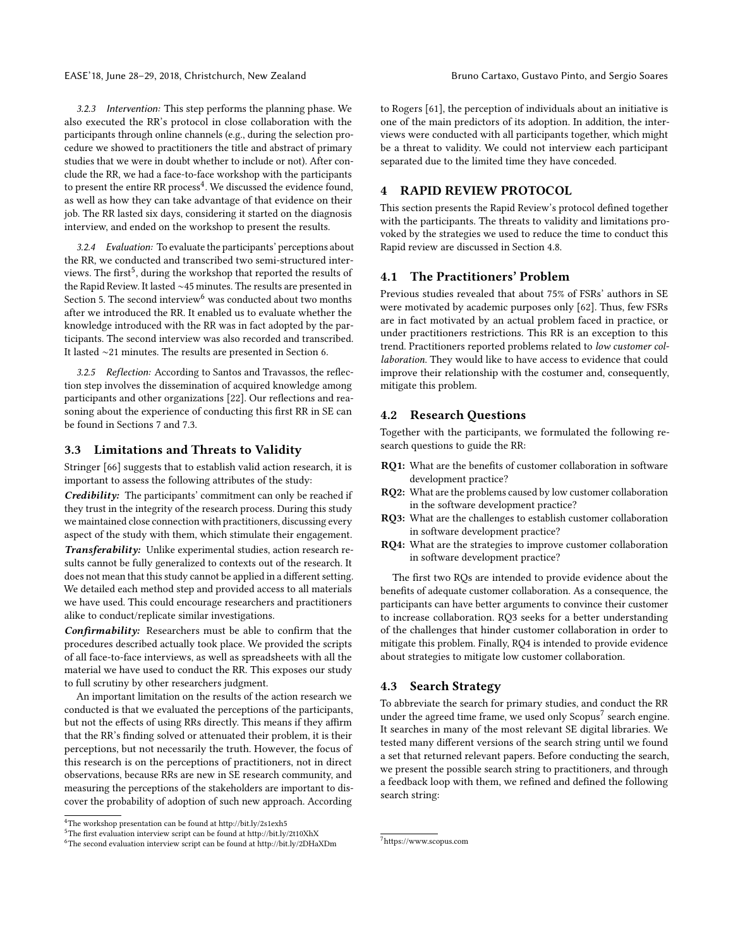EASE'18, June 28-29, 2018, Christchurch, New Zealand Bruno Cartaxo, Gustavo Pinto, and Sergio Soares

3.2.3 Intervention: This step performs the planning phase. We also executed the RR's protocol in close collaboration with the participants through online channels (e.g., during the selection procedure we showed to practitioners the title and abstract of primary studies that we were in doubt whether to include or not). After conclude the RR, we had a face-to-face workshop with the participants to present the entire RR process $^4$  $^4$ . We discussed the evidence found, as well as how they can take advantage of that evidence on their job. The RR lasted six days, considering it started on the diagnosis interview, and ended on the workshop to present the results.

<span id="page-3-5"></span>3.2.4 Evaluation: To evaluate the participants' perceptions about the RR, we conducted and transcribed two semi-structured inter-views. The first<sup>[5](#page-3-2)</sup>, during the workshop that reported the results of the Rapid Review. It lasted ∼45 minutes. The results are presented in Section [5.](#page-5-1) The second interview<sup>[6](#page-3-3)</sup> was conducted about two months after we introduced the RR. It enabled us to evaluate whether the knowledge introduced with the RR was in fact adopted by the participants. The second interview was also recorded and transcribed. It lasted ∼21 minutes. The results are presented in Section [6.](#page-7-0)

3.2.5 Reflection: According to Santos and Travassos, the reflection step involves the dissemination of acquired knowledge among participants and other organizations [\[22\]](#page-10-35). Our reflections and reasoning about the experience of conducting this first RR in SE can be found in Sections [7](#page-7-1) and [7.3.](#page-9-6)

#### 3.3 Limitations and Threats to Validity

Stringer [\[66\]](#page-10-10) suggests that to establish valid action research, it is important to assess the following attributes of the study:

Credibility: The participants' commitment can only be reached if they trust in the integrity of the research process. During this study we maintained close connection with practitioners, discussing every aspect of the study with them, which stimulate their engagement.

Transferability: Unlike experimental studies, action research results cannot be fully generalized to contexts out of the research. It does not mean that this study cannot be applied in a different setting. We detailed each method step and provided access to all materials we have used. This could encourage researchers and practitioners alike to conduct/replicate similar investigations.

Confirmability: Researchers must be able to confirm that the procedures described actually took place. We provided the scripts of all face-to-face interviews, as well as spreadsheets with all the material we have used to conduct the RR. This exposes our study to full scrutiny by other researchers judgment.

An important limitation on the results of the action research we conducted is that we evaluated the perceptions of the participants, but not the effects of using RRs directly. This means if they affirm that the RR's finding solved or attenuated their problem, it is their perceptions, but not necessarily the truth. However, the focus of this research is on the perceptions of practitioners, not in direct observations, because RRs are new in SE research community, and measuring the perceptions of the stakeholders are important to discover the probability of adoption of such new approach. According

<span id="page-3-2"></span> $5$ The first evaluation interview script can be found at<http://bit.ly/2t10XhX>

to Rogers [\[61\]](#page-10-36), the perception of individuals about an initiative is one of the main predictors of its adoption. In addition, the interviews were conducted with all participants together, which might be a threat to validity. We could not interview each participant separated due to the limited time they have conceded.

# <span id="page-3-0"></span>4 RAPID REVIEW PROTOCOL

This section presents the Rapid Review's protocol defined together with the participants. The threats to validity and limitations provoked by the strategies we used to reduce the time to conduct this Rapid review are discussed in Section [4.8.](#page-5-2)

# 4.1 The Practitioners' Problem

Previous studies revealed that about 75% of FSRs' authors in SE were motivated by academic purposes only [\[62\]](#page-10-4). Thus, few FSRs are in fact motivated by an actual problem faced in practice, or under practitioners restrictions. This RR is an exception to this trend. Practitioners reported problems related to low customer collaboration. They would like to have access to evidence that could improve their relationship with the costumer and, consequently, mitigate this problem.

# <span id="page-3-6"></span>4.2 Research Questions

Together with the participants, we formulated the following research questions to guide the RR:

- RQ1: What are the benefits of customer collaboration in software development practice?
- RQ2: What are the problems caused by low customer collaboration in the software development practice?
- RQ3: What are the challenges to establish customer collaboration in software development practice?
- RQ4: What are the strategies to improve customer collaboration in software development practice?

The first two RQs are intended to provide evidence about the benefits of adequate customer collaboration. As a consequence, the participants can have better arguments to convince their customer to increase collaboration. RQ3 seeks for a better understanding of the challenges that hinder customer collaboration in order to mitigate this problem. Finally, RQ4 is intended to provide evidence about strategies to mitigate low customer collaboration.

#### 4.3 Search Strategy

To abbreviate the search for primary studies, and conduct the RR under the agreed time frame, we used only  $Scopus<sup>7</sup>$  $Scopus<sup>7</sup>$  $Scopus<sup>7</sup>$  search engine. It searches in many of the most relevant SE digital libraries. We tested many different versions of the search string until we found a set that returned relevant papers. Before conducting the search, we present the possible search string to practitioners, and through a feedback loop with them, we refined and defined the following search string:

<span id="page-3-1"></span><sup>4</sup>The workshop presentation can be found at<http://bit.ly/2s1exh5>

<span id="page-3-3"></span><sup>6</sup>The second evaluation interview script can be found at<http://bit.ly/2DHaXDm>

<span id="page-3-4"></span><sup>&</sup>lt;sup>7</sup><https://www.scopus.com>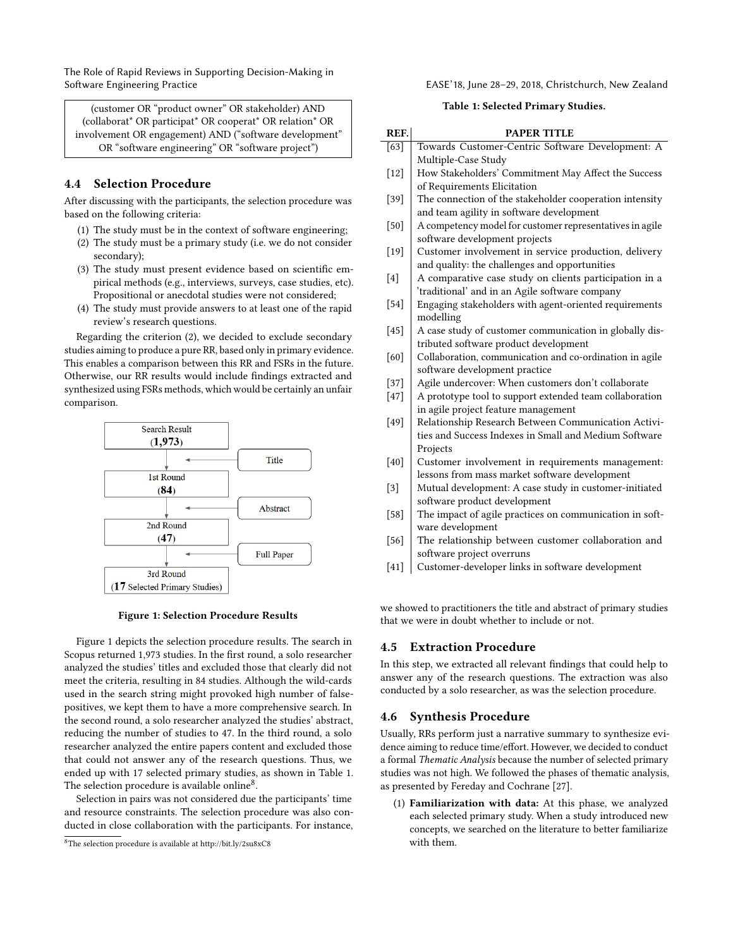(customer OR "product owner" OR stakeholder) AND (collaborat\* OR participat\* OR cooperat\* OR relation\* OR involvement OR engagement) AND ("software development" OR "software engineering" OR "software project")

# 4.4 Selection Procedure

After discussing with the participants, the selection procedure was based on the following criteria:

- (1) The study must be in the context of software engineering;
- (2) The study must be a primary study (i.e. we do not consider secondary);
- (3) The study must present evidence based on scientific empirical methods (e.g., interviews, surveys, case studies, etc). Propositional or anecdotal studies were not considered;
- (4) The study must provide answers to at least one of the rapid review's research questions.

Regarding the criterion (2), we decided to exclude secondary studies aiming to produce a pure RR, based only in primary evidence. This enables a comparison between this RR and FSRs in the future. Otherwise, our RR results would include findings extracted and synthesized using FSRs methods, which would be certainly an unfair comparison.

<span id="page-4-0"></span>

#### Figure 1: Selection Procedure Results

Figure [1](#page-4-0) depicts the selection procedure results. The search in Scopus returned 1,973 studies. In the first round, a solo researcher analyzed the studies' titles and excluded those that clearly did not meet the criteria, resulting in 84 studies. Although the wild-cards used in the search string might provoked high number of falsepositives, we kept them to have a more comprehensive search. In the second round, a solo researcher analyzed the studies' abstract, reducing the number of studies to 47. In the third round, a solo researcher analyzed the entire papers content and excluded those that could not answer any of the research questions. Thus, we ended up with 17 selected primary studies, as shown in Table [1.](#page-4-1) The selection procedure is available online<sup>[8](#page-4-2)</sup>.

Selection in pairs was not considered due the participants' time and resource constraints. The selection procedure was also conducted in close collaboration with the participants. For instance,

#### Table 1: Selected Primary Studies.

<span id="page-4-1"></span>

| REF. | <b>PAPER TITLE</b> |  |
|------|--------------------|--|
|      |                    |  |

- [\[63\]](#page-10-37) Towards Customer-Centric Software Development: A Multiple-Case Study
- [\[12\]](#page-10-38) How Stakeholders' Commitment May Affect the Success of Requirements Elicitation
- [\[39\]](#page-10-39) The connection of the stakeholder cooperation intensity and team agility in software development
- [\[50\]](#page-10-40) A competency model for customer representatives in agile software development projects
- [\[19\]](#page-10-41) Customer involvement in service production, delivery and quality: the challenges and opportunities
- $[4]$  A comparative case study on clients participation in a 'traditional' and in an Agile software company
- [\[54\]](#page-10-42) Engaging stakeholders with agent-oriented requirements modelling
- $[45]$  A case study of customer communication in globally distributed software product development
- [\[60\]](#page-10-44) Collaboration, communication and co-ordination in agile software development practice
- [\[37\]](#page-10-45) Agile undercover: When customers don't collaborate
- [\[47\]](#page-10-46) A prototype tool to support extended team collaboration in agile project feature management
- [\[49\]](#page-10-47) Relationship Research Between Communication Activities and Success Indexes in Small and Medium Software Projects
- [\[40\]](#page-10-48) Customer involvement in requirements management: lessons from mass market software development
- [\[3\]](#page-9-8) Mutual development: A case study in customer-initiated software product development
- [\[58\]](#page-10-49) The impact of agile practices on communication in software development
- [\[56\]](#page-10-50) The relationship between customer collaboration and software project overruns
- [\[41\]](#page-10-51) Customer-developer links in software development

we showed to practitioners the title and abstract of primary studies that we were in doubt whether to include or not.

# 4.5 Extraction Procedure

In this step, we extracted all relevant findings that could help to answer any of the research questions. The extraction was also conducted by a solo researcher, as was the selection procedure.

#### 4.6 Synthesis Procedure

Usually, RRs perform just a narrative summary to synthesize evidence aiming to reduce time/effort. However, we decided to conduct a formal Thematic Analysis because the number of selected primary studies was not high. We followed the phases of thematic analysis, as presented by Fereday and Cochrane [\[27\]](#page-10-52).

(1) Familiarization with data: At this phase, we analyzed each selected primary study. When a study introduced new concepts, we searched on the literature to better familiarize with them.

<span id="page-4-2"></span><sup>8</sup>The selection procedure is available at<http://bit.ly/2su8xC8>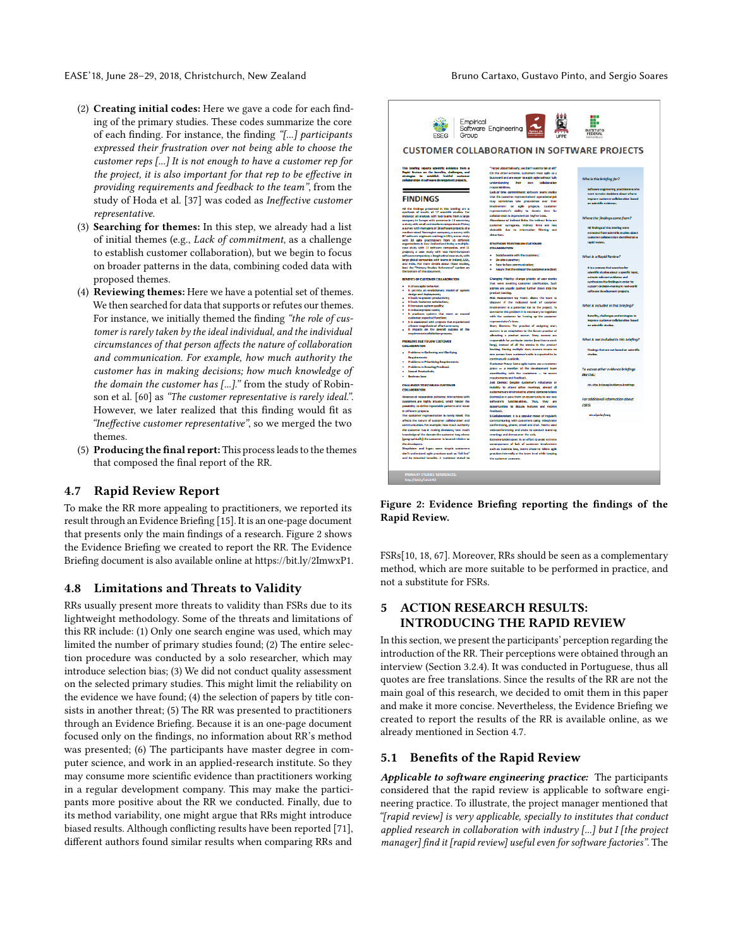EASE'18, June 28-29, 2018, Christchurch, New Zealand Bruno Cartaxo, Gustavo Pinto, and Sergio Soares

- (2) Creating initial codes: Here we gave a code for each finding of the primary studies. These codes summarize the core of each finding. For instance, the finding "[...] participants expressed their frustration over not being able to choose the customer reps [...] It is not enough to have a customer rep for the project, it is also important for that rep to be effective in providing requirements and feedback to the team", from the study of Hoda et al. [\[37\]](#page-10-45) was coded as Ineffective customer representative.
- (3) Searching for themes: In this step, we already had a list of initial themes (e.g., Lack of commitment, as a challenge to establish customer collaboration), but we begin to focus on broader patterns in the data, combining coded data with proposed themes.
- (4) Reviewing themes: Here we have a potential set of themes. We then searched for data that supports or refutes our themes. For instance, we initially themed the finding "the role of customer is rarely taken by the ideal individual, and the individual circumstances of that person affects the nature of collaboration and communication. For example, how much authority the customer has in making decisions; how much knowledge of the domain the customer has [...]." from the study of Robinson et al. [\[60\]](#page-10-44) as "The customer representative is rarely ideal.". However, we later realized that this finding would fit as "Ineffective customer representative", so we merged the two themes.
- (5) Producing the final report: This process leads to the themes that composed the final report of the RR.

# <span id="page-5-0"></span>4.7 Rapid Review Report

To make the RR more appealing to practitioners, we reported its result through an Evidence Briefing [\[15\]](#page-10-8). It is an one-page document that presents only the main findings of a research. Figure [2](#page-5-3) shows the Evidence Briefing we created to report the RR. The Evidence Briefing document is also available online at [https://bit.ly/2ImwxP1.](https://bit.ly/2ImwxP1)

#### <span id="page-5-2"></span>4.8 Limitations and Threats to Validity

RRs usually present more threats to validity than FSRs due to its lightweight methodology. Some of the threats and limitations of this RR include: (1) Only one search engine was used, which may limited the number of primary studies found; (2) The entire selection procedure was conducted by a solo researcher, which may introduce selection bias; (3) We did not conduct quality assessment on the selected primary studies. This might limit the reliability on the evidence we have found; (4) the selection of papers by title consists in another threat; (5) The RR was presented to practitioners through an Evidence Briefing. Because it is an one-page document focused only on the findings, no information about RR's method was presented; (6) The participants have master degree in computer science, and work in an applied-research institute. So they may consume more scientific evidence than practitioners working in a regular development company. This may make the participants more positive about the RR we conducted. Finally, due to its method variability, one might argue that RRs might introduce biased results. Although conflicting results have been reported [\[71\]](#page-10-53), different authors found similar results when comparing RRs and

<span id="page-5-3"></span>

| Empirical<br>Group                                                                                       | Software Engineering                                                                                                                            | Ti.<br><b>INSTITUTO</b><br>Pernambuon                                             |
|----------------------------------------------------------------------------------------------------------|-------------------------------------------------------------------------------------------------------------------------------------------------|-----------------------------------------------------------------------------------|
|                                                                                                          | <b>CUSTOMER COLLABORATION IN SOFTWARE PROJECTS</b>                                                                                              |                                                                                   |
| This briefing reports scientific evidence from a<br>Rapid Review on the benefits, challenges, and        | "Forget about fail early, we don't want to fail at all!"                                                                                        |                                                                                   |
| strategies to establish fruitful customer<br>collaboration in software development projects.             | On the other extreme, customers treat wells as a<br>buzzword and are eager to apply agle without fully<br>understanding their own collaboration | Who is this briefing for?                                                         |
|                                                                                                          | responsibilities.<br>Lack of time commitment; software teams realize                                                                            | Software engineering practitioners who                                            |
| <b>FINDINGS</b>                                                                                          | that the customer representatives' operational job                                                                                              | want to make decisions about who to<br><b>Increw customer collaboration based</b> |
|                                                                                                          | may sometimes take precedence over their                                                                                                        | on scientific evidence.                                                           |
| All the findings presented in this briefing are a                                                        | involvement on agle projects. Customer<br>representative's ability to devote time for                                                           |                                                                                   |
| perchasis of results of 17 scientific studies. For<br>instance: an analysis with two teams from a large  | collaboration is dependent on his/her boxs.                                                                                                     |                                                                                   |
| company in Europe with presence in 11 countries;                                                         | Abundance of indirect links: the indirect links are                                                                                             | Where the findings come from?                                                     |
| a study with small and medium companies in China:<br>a survey with managers of 18 software projects of a | customer surrogates, Indirect links are less                                                                                                    | All findings of this briefing were                                                |
| medium-sized Norwegian company; a survey with                                                            | desirable due to information filtering and<br>distanting                                                                                        | extracted from scientific studies about                                           |
| 87 software engineers working in USA; a case study<br>with 30 agle practitioners from 16 different       |                                                                                                                                                 | customer collaboration identified on a<br>racid review.                           |
| organizations in New Zealand and India; a multiple-                                                      | STRATEGIES TO ESTABLISM CIRTOMER                                                                                                                |                                                                                   |
| case study with 17 software companies, and 31<br>projects; a case study with two Nord-European           | <b>COLLABORATION</b>                                                                                                                            |                                                                                   |
| software companies; a longitudinal case study with<br>large global companies with teams in Ireland, USA. | . Social events with the customer;<br>· On-site customer;                                                                                       | What is a Rapid Review?                                                           |
| and India. For more details about those studies,                                                         | Face to face communication:                                                                                                                     |                                                                                   |
| look the "Primary Studies References" section on<br>the bettern of this decument.                        | . Assure that the roles of the customer are clear;                                                                                              | It is a process that searches for                                                 |
|                                                                                                          |                                                                                                                                                 | scientific studies about a specific topic,<br>extracts relevant evidence and      |
| BENEFITS OF CUSTOMER COLLABORATION                                                                       | Changing Priority: change priority of user stories<br>that were awaiting customer clarification. Such                                           | synthesizes the findings in order to                                              |
| It drives agile behavior;<br>It permits an evolutionary model of system                                  | stories are usually pushed further down into the                                                                                                | support decision-making in real-world                                             |
| design and deployment;                                                                                   | product backlos.                                                                                                                                | software development projects.                                                    |
| It leads to greater productivity;<br>It leads Customer satisfaction;                                     | Risk Assessment Up Front; allows the team to<br>discount if the indicated local of customer                                                     |                                                                                   |
| It increases system quality;                                                                             | involvement is a potential risk to the project. To                                                                                              | What is included in this briefing?                                                |
| It reduces project costs:<br>It produces systems that meet or exceed                                     | overcome this problem it is necessary to negotiate                                                                                              |                                                                                   |
| customer expected function;                                                                              | with the customer for freeing up the customer<br>recreased attive's time.                                                                       | Benefits, challenges and strategies to<br>increase contempr collaboration based   |
| It is associated with projects that experienced<br>a lesser magnitude of effort overruns;                | Story Owners: The practice of assigning story                                                                                                   | on winnifer studies                                                               |
| It impacts on the overall success of the<br>regulrements elicitation process.                            | owners is an adaptation to the Scrum practice of                                                                                                |                                                                                   |
|                                                                                                          | allocating a product owner. Story gamers are                                                                                                    |                                                                                   |
| <b>PROBLEMS DUE TO LOW CUSTOMER</b><br><b>COLLABORATION</b>                                              | responsible for particular stories (less than a week<br>long), instead of all the stories in the product                                        | What is not included in this briefing?                                            |
|                                                                                                          | backlop, Having multiple story owners means no                                                                                                  | Findings that are not based on scientific                                         |
| Problems in Gathering and Clarifving<br><b>Benefitzmann</b>                                              | one person from customer's side is expected to be                                                                                               | studies.                                                                          |
| <b>Problems in Prioritizing Requirements</b>                                                             | continuously available.<br>Customer Proxy: Some agile teams use a customer                                                                      |                                                                                   |
| <b>Problems in Securing Feedback</b>                                                                     | proxy - a member of the development team                                                                                                        | To access other evidence briefings                                                |
| <b>Loss of Productivity</b><br><b>Business Loss</b>                                                      | coordinating with the customers - to secure                                                                                                     | like this:                                                                        |
|                                                                                                          | randroments and fearbork.<br>Just Demos: Despite customer's relactance or                                                                       |                                                                                   |
| <b>CHALLENGES TO ESTABLISH CUSTOMER</b>                                                                  | inability to attend other meetings, almost all                                                                                                  | cin.ufps.br/eseg/evidence-briefings                                               |
| <b>COLLABORATION</b>                                                                                     | customers are interested to attend demonstrations.                                                                                              |                                                                                   |
| Absence of repeatable patterns: Interactions with                                                        | (demos) as it gave them an opportunity to see new                                                                                               | For additional information about                                                  |
| customers are highly situated, which hinder the<br>possibility to define repeatable patterns and reuse   | software's functionalities. Thus, they are<br>opportunities to discuss features and receive                                                     | <b>ESEG:</b>                                                                      |
| in different projects.                                                                                   | <b>Grandburgh</b>                                                                                                                               |                                                                                   |
| The customer representative is rarely ideal: this                                                        | E-Collaboration: it is a popular mean of regularly                                                                                              | cin.ufpe.br/esee                                                                  |
| affects the nature of customer collaboration and<br>communication. For example: how much authority       | communicating with customers using video/voice<br>conferencing, phone, email and chat. Teams used                                               |                                                                                   |
| the customer has in making decisions; how much                                                           | web-conferencing and chats to conduct stand-up                                                                                                  |                                                                                   |
| knowledge of the domain the customer has; where                                                          | meetings and demos over the web.                                                                                                                |                                                                                   |
| booseverbired of the conterner is located relative to                                                    | Extreme Undercover: In an effort to avoid extreme                                                                                               |                                                                                   |
| the development.<br>Skepticism and hype: some skeptic customers                                          | consequences of lack of customer involvement<br>such as business loss, teams chose to follow agile                                              |                                                                                   |
| don't understand agile practices such as 'fail fast'                                                     | practices internally at the team level while keeping                                                                                            |                                                                                   |
| and its intended benefits. A customer stated to                                                          | the customer unaware.                                                                                                                           |                                                                                   |

Figure 2: Evidence Briefing reporting the findings of the Rapid Review.

FSRs[\[10,](#page-9-0) [18,](#page-10-54) [67\]](#page-10-18). Moreover, RRs should be seen as a complementary method, which are more suitable to be performed in practice, and not a substitute for FSRs.

# <span id="page-5-1"></span>5 ACTION RESEARCH RESULTS: INTRODUCING THE RAPID REVIEW

In this section, we present the participants' perception regarding the introduction of the RR. Their perceptions were obtained through an interview (Section [3.2.4\)](#page-3-5). It was conducted in Portuguese, thus all quotes are free translations. Since the results of the RR are not the main goal of this research, we decided to omit them in this paper and make it more concise. Nevertheless, the Evidence Briefing we created to report the results of the RR is available online, as we already mentioned in Section [4.7.](#page-5-0)

#### 5.1 Benefits of the Rapid Review

Applicable to software engineering practice: The participants considered that the rapid review is applicable to software engineering practice. To illustrate, the project manager mentioned that "[rapid review] is very applicable, specially to institutes that conduct applied research in collaboration with industry [...] but I [the project manager] find it [rapid review] useful even for software factories". The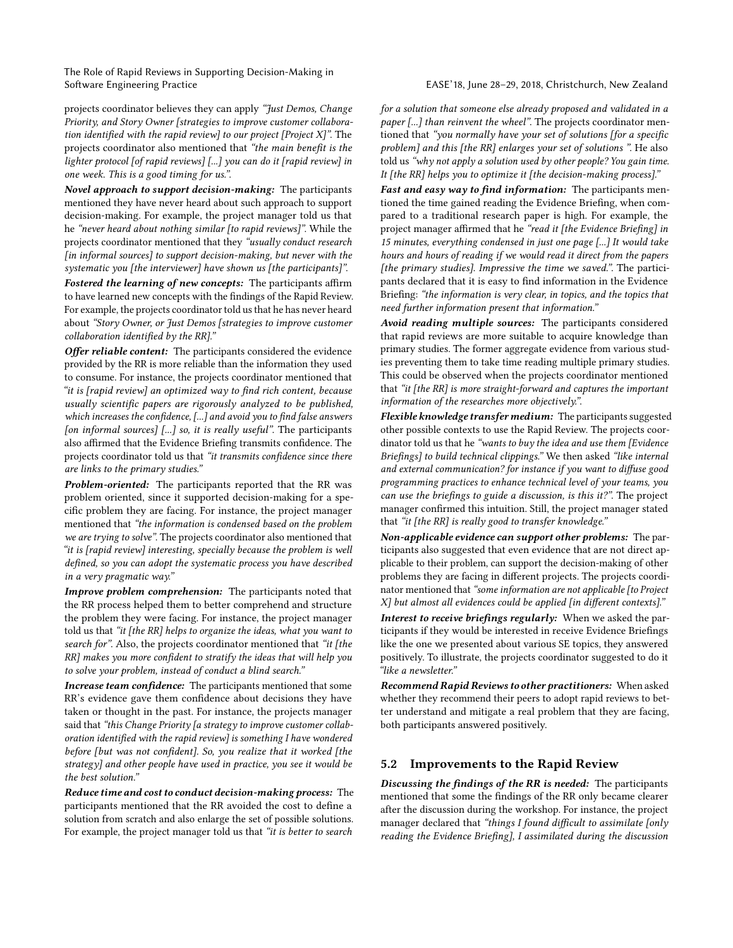projects coordinator believes they can apply "Just Demos, Change Priority, and Story Owner [strategies to improve customer collaboration identified with the rapid review] to our project [Project X]". The projects coordinator also mentioned that "the main benefit is the lighter protocol [of rapid reviews] [...] you can do it [rapid review] in one week. This is a good timing for us.".

Novel approach to support decision-making: The participants mentioned they have never heard about such approach to support decision-making. For example, the project manager told us that he "never heard about nothing similar [to rapid reviews]". While the projects coordinator mentioned that they "usually conduct research [in informal sources] to support decision-making, but never with the systematic you [the interviewer] have shown us [the participants]".

Fostered the learning of new concepts: The participants affirm to have learned new concepts with the findings of the Rapid Review. For example, the projects coordinator told us that he has never heard about "Story Owner, or Just Demos [strategies to improve customer collaboration identified by the RR]."

Offer reliable content: The participants considered the evidence provided by the RR is more reliable than the information they used to consume. For instance, the projects coordinator mentioned that "it is [rapid review] an optimized way to find rich content, because usually scientific papers are rigorously analyzed to be published, which increases the confidence, [...] and avoid you to find false answers [on informal sources] [...] so, it is really useful". The participants also affirmed that the Evidence Briefing transmits confidence. The projects coordinator told us that "it transmits confidence since there are links to the primary studies."

Problem-oriented: The participants reported that the RR was problem oriented, since it supported decision-making for a specific problem they are facing. For instance, the project manager mentioned that "the information is condensed based on the problem we are trying to solve". The projects coordinator also mentioned that "it is [rapid review] interesting, specially because the problem is well defined, so you can adopt the systematic process you have described in a very pragmatic way."

Improve problem comprehension: The participants noted that the RR process helped them to better comprehend and structure the problem they were facing. For instance, the project manager told us that "it [the RR] helps to organize the ideas, what you want to search for". Also, the projects coordinator mentioned that "it [the RR] makes you more confident to stratify the ideas that will help you to solve your problem, instead of conduct a blind search."

Increase team confidence: The participants mentioned that some RR's evidence gave them confidence about decisions they have taken or thought in the past. For instance, the projects manager said that "this Change Priority [a strategy to improve customer collaboration identified with the rapid review] is something I have wondered before [but was not confident]. So, you realize that it worked [the strategy] and other people have used in practice, you see it would be the best solution."

Reduce time and cost to conduct decision-making process: The participants mentioned that the RR avoided the cost to define a solution from scratch and also enlarge the set of possible solutions. For example, the project manager told us that "it is better to search

for a solution that someone else already proposed and validated in a paper [...] than reinvent the wheel". The projects coordinator mentioned that "you normally have your set of solutions [for a specific problem] and this [the RR] enlarges your set of solutions ". He also told us "why not apply a solution used by other people? You gain time. It [the RR] helps you to optimize it [the decision-making process]."

Fast and easy way to find information: The participants mentioned the time gained reading the Evidence Briefing, when compared to a traditional research paper is high. For example, the project manager affirmed that he "read it [the Evidence Briefing] in 15 minutes, everything condensed in just one page [...] It would take hours and hours of reading if we would read it direct from the papers [the primary studies]. Impressive the time we saved.". The participants declared that it is easy to find information in the Evidence Briefing: "the information is very clear, in topics, and the topics that need further information present that information."

Avoid reading multiple sources: The participants considered that rapid reviews are more suitable to acquire knowledge than primary studies. The former aggregate evidence from various studies preventing them to take time reading multiple primary studies. This could be observed when the projects coordinator mentioned that "it [the RR] is more straight-forward and captures the important information of the researches more objectively.".

Flexible knowledge transfer medium: The participants suggested other possible contexts to use the Rapid Review. The projects coordinator told us that he "wants to buy the idea and use them [Evidence Briefings] to build technical clippings." We then asked "like internal and external communication? for instance if you want to diffuse good programming practices to enhance technical level of your teams, you can use the briefings to guide a discussion, is this it?". The project manager confirmed this intuition. Still, the project manager stated that "it [the RR] is really good to transfer knowledge."

Non-applicable evidence can support other problems: The participants also suggested that even evidence that are not direct applicable to their problem, can support the decision-making of other problems they are facing in different projects. The projects coordinator mentioned that "some information are not applicable [to Project X] but almost all evidences could be applied [in different contexts]."

Interest to receive briefings regularly: When we asked the participants if they would be interested in receive Evidence Briefings like the one we presented about various SE topics, they answered positively. To illustrate, the projects coordinator suggested to do it "like a newsletter."

Recommend Rapid Reviews to other practitioners: When asked whether they recommend their peers to adopt rapid reviews to better understand and mitigate a real problem that they are facing, both participants answered positively.

# 5.2 Improvements to the Rapid Review

Discussing the findings of the RR is needed: The participants mentioned that some the findings of the RR only became clearer after the discussion during the workshop. For instance, the project manager declared that "things I found difficult to assimilate [only reading the Evidence Briefing], I assimilated during the discussion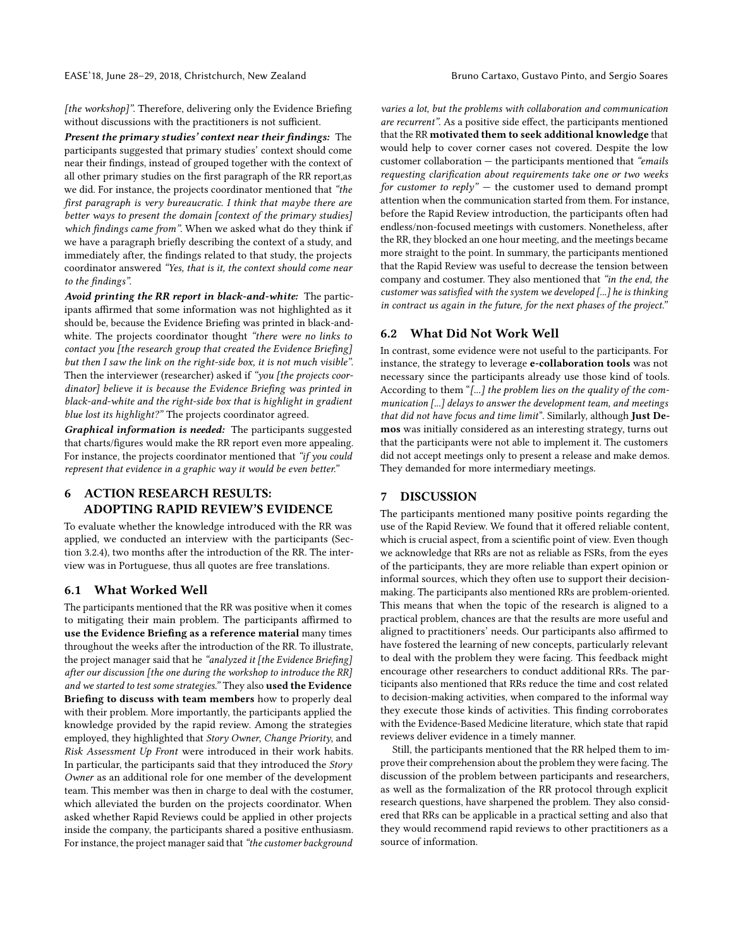[the workshop]". Therefore, delivering only the Evidence Briefing without discussions with the practitioners is not sufficient.

Present the primary studies' context near their findings: The participants suggested that primary studies' context should come near their findings, instead of grouped together with the context of all other primary studies on the first paragraph of the RR report,as we did. For instance, the projects coordinator mentioned that "the first paragraph is very bureaucratic. I think that maybe there are better ways to present the domain [context of the primary studies] which findings came from". When we asked what do they think if we have a paragraph briefly describing the context of a study, and immediately after, the findings related to that study, the projects coordinator answered "Yes, that is it, the context should come near to the findings".

Avoid printing the RR report in black-and-white: The participants affirmed that some information was not highlighted as it should be, because the Evidence Briefing was printed in black-andwhite. The projects coordinator thought "there were no links to contact you [the research group that created the Evidence Briefing] but then I saw the link on the right-side box, it is not much visible". Then the interviewer (researcher) asked if "you [the projects coordinator] believe it is because the Evidence Briefing was printed in black-and-white and the right-side box that is highlight in gradient blue lost its highlight?" The projects coordinator agreed.

Graphical information is needed: The participants suggested that charts/figures would make the RR report even more appealing. For instance, the projects coordinator mentioned that "if you could represent that evidence in a graphic way it would be even better."

# <span id="page-7-0"></span>6 ACTION RESEARCH RESULTS: ADOPTING RAPID REVIEW'S EVIDENCE

To evaluate whether the knowledge introduced with the RR was applied, we conducted an interview with the participants (Section [3.2.4\)](#page-3-5), two months after the introduction of the RR. The interview was in Portuguese, thus all quotes are free translations.

#### 6.1 What Worked Well

The participants mentioned that the RR was positive when it comes to mitigating their main problem. The participants affirmed to use the Evidence Briefing as a reference material many times throughout the weeks after the introduction of the RR. To illustrate, the project manager said that he "analyzed it [the Evidence Briefing] after our discussion [the one during the workshop to introduce the RR] and we started to test some strategies." They also used the Evidence Briefing to discuss with team members how to properly deal with their problem. More importantly, the participants applied the knowledge provided by the rapid review. Among the strategies employed, they highlighted that Story Owner, Change Priority, and Risk Assessment Up Front were introduced in their work habits. In particular, the participants said that they introduced the Story Owner as an additional role for one member of the development team. This member was then in charge to deal with the costumer, which alleviated the burden on the projects coordinator. When asked whether Rapid Reviews could be applied in other projects inside the company, the participants shared a positive enthusiasm. For instance, the project manager said that "the customer background

varies a lot, but the problems with collaboration and communication are recurrent". As a positive side effect, the participants mentioned that the RR motivated them to seek additional knowledge that would help to cover corner cases not covered. Despite the low customer collaboration — the participants mentioned that "emails requesting clarification about requirements take one or two weeks for customer to  $reply'' -$  the customer used to demand prompt attention when the communication started from them. For instance, before the Rapid Review introduction, the participants often had endless/non-focused meetings with customers. Nonetheless, after the RR, they blocked an one hour meeting, and the meetings became more straight to the point. In summary, the participants mentioned that the Rapid Review was useful to decrease the tension between company and costumer. They also mentioned that "in the end, the customer was satisfied with the system we developed [...] he is thinking in contract us again in the future, for the next phases of the project."

#### 6.2 What Did Not Work Well

In contrast, some evidence were not useful to the participants. For instance, the strategy to leverage e-collaboration tools was not necessary since the participants already use those kind of tools. According to them "[...] the problem lies on the quality of the communication [...] delays to answer the development team, and meetings that did not have focus and time limit". Similarly, although Just Demos was initially considered as an interesting strategy, turns out that the participants were not able to implement it. The customers did not accept meetings only to present a release and make demos. They demanded for more intermediary meetings.

# <span id="page-7-1"></span>7 DISCUSSION

The participants mentioned many positive points regarding the use of the Rapid Review. We found that it offered reliable content, which is crucial aspect, from a scientific point of view. Even though we acknowledge that RRs are not as reliable as FSRs, from the eyes of the participants, they are more reliable than expert opinion or informal sources, which they often use to support their decisionmaking. The participants also mentioned RRs are problem-oriented. This means that when the topic of the research is aligned to a practical problem, chances are that the results are more useful and aligned to practitioners' needs. Our participants also affirmed to have fostered the learning of new concepts, particularly relevant to deal with the problem they were facing. This feedback might encourage other researchers to conduct additional RRs. The participants also mentioned that RRs reduce the time and cost related to decision-making activities, when compared to the informal way they execute those kinds of activities. This finding corroborates with the Evidence-Based Medicine literature, which state that rapid reviews deliver evidence in a timely manner.

Still, the participants mentioned that the RR helped them to improve their comprehension about the problem they were facing. The discussion of the problem between participants and researchers, as well as the formalization of the RR protocol through explicit research questions, have sharpened the problem. They also considered that RRs can be applicable in a practical setting and also that they would recommend rapid reviews to other practitioners as a source of information.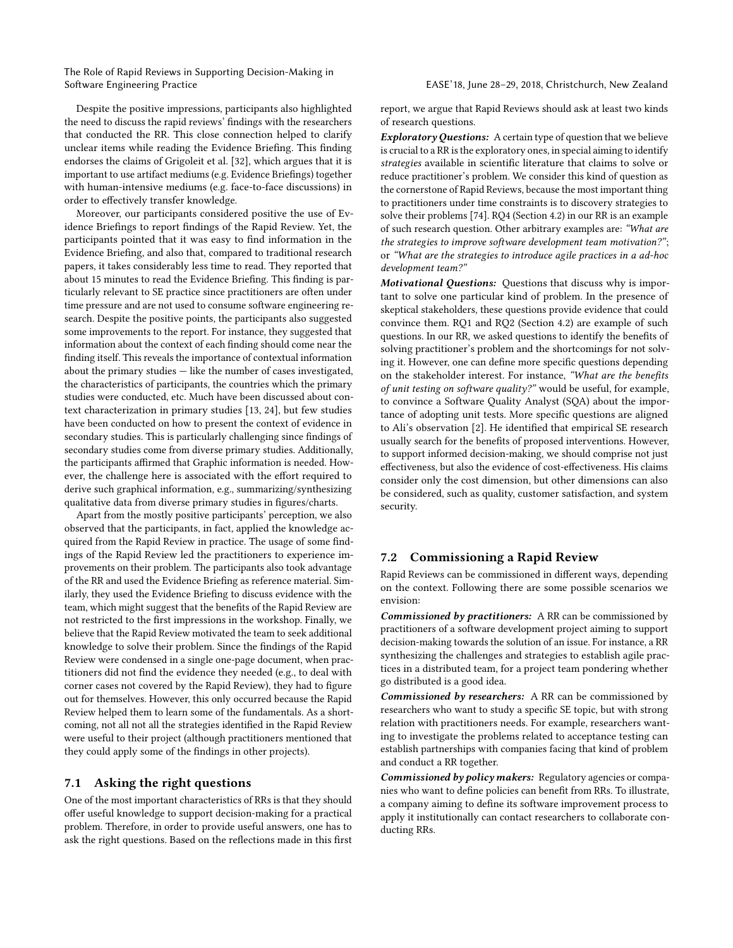Despite the positive impressions, participants also highlighted the need to discuss the rapid reviews' findings with the researchers that conducted the RR. This close connection helped to clarify unclear items while reading the Evidence Briefing. This finding endorses the claims of Grigoleit et al. [\[32\]](#page-10-25), which argues that it is important to use artifact mediums (e.g. Evidence Briefings) together with human-intensive mediums (e.g. face-to-face discussions) in order to effectively transfer knowledge.

Moreover, our participants considered positive the use of Evidence Briefings to report findings of the Rapid Review. Yet, the participants pointed that it was easy to find information in the Evidence Briefing, and also that, compared to traditional research papers, it takes considerably less time to read. They reported that about 15 minutes to read the Evidence Briefing. This finding is particularly relevant to SE practice since practitioners are often under time pressure and are not used to consume software engineering research. Despite the positive points, the participants also suggested some improvements to the report. For instance, they suggested that information about the context of each finding should come near the finding itself. This reveals the importance of contextual information about the primary studies — like the number of cases investigated, the characteristics of participants, the countries which the primary studies were conducted, etc. Much have been discussed about context characterization in primary studies [\[13,](#page-10-55) [24\]](#page-10-56), but few studies have been conducted on how to present the context of evidence in secondary studies. This is particularly challenging since findings of secondary studies come from diverse primary studies. Additionally, the participants affirmed that Graphic information is needed. However, the challenge here is associated with the effort required to derive such graphical information, e.g., summarizing/synthesizing qualitative data from diverse primary studies in figures/charts.

Apart from the mostly positive participants' perception, we also observed that the participants, in fact, applied the knowledge acquired from the Rapid Review in practice. The usage of some findings of the Rapid Review led the practitioners to experience improvements on their problem. The participants also took advantage of the RR and used the Evidence Briefing as reference material. Similarly, they used the Evidence Briefing to discuss evidence with the team, which might suggest that the benefits of the Rapid Review are not restricted to the first impressions in the workshop. Finally, we believe that the Rapid Review motivated the team to seek additional knowledge to solve their problem. Since the findings of the Rapid Review were condensed in a single one-page document, when practitioners did not find the evidence they needed (e.g., to deal with corner cases not covered by the Rapid Review), they had to figure out for themselves. However, this only occurred because the Rapid Review helped them to learn some of the fundamentals. As a shortcoming, not all not all the strategies identified in the Rapid Review were useful to their project (although practitioners mentioned that they could apply some of the findings in other projects).

#### 7.1 Asking the right questions

One of the most important characteristics of RRs is that they should offer useful knowledge to support decision-making for a practical problem. Therefore, in order to provide useful answers, one has to ask the right questions. Based on the reflections made in this first report, we argue that Rapid Reviews should ask at least two kinds of research questions.

**Exploratory Questions:** A certain type of question that we believe is crucial to a RR is the exploratory ones, in special aiming to identify strategies available in scientific literature that claims to solve or reduce practitioner's problem. We consider this kind of question as the cornerstone of Rapid Reviews, because the most important thing to practitioners under time constraints is to discovery strategies to solve their problems [\[74\]](#page-10-57). RQ4 (Section [4.2\)](#page-3-6) in our RR is an example of such research question. Other arbitrary examples are: "What are the strategies to improve software development team motivation?"; or "What are the strategies to introduce agile practices in a ad-hoc development team?"

Motivational Questions: Questions that discuss why is important to solve one particular kind of problem. In the presence of skeptical stakeholders, these questions provide evidence that could convince them. RQ1 and RQ2 (Section [4.2\)](#page-3-6) are example of such questions. In our RR, we asked questions to identify the benefits of solving practitioner's problem and the shortcomings for not solving it. However, one can define more specific questions depending on the stakeholder interest. For instance, "What are the benefits of unit testing on software quality?" would be useful, for example, to convince a Software Quality Analyst (SQA) about the importance of adopting unit tests. More specific questions are aligned to Ali's observation [\[2\]](#page-9-9). He identified that empirical SE research usually search for the benefits of proposed interventions. However, to support informed decision-making, we should comprise not just effectiveness, but also the evidence of cost-effectiveness. His claims consider only the cost dimension, but other dimensions can also be considered, such as quality, customer satisfaction, and system security.

#### 7.2 Commissioning a Rapid Review

Rapid Reviews can be commissioned in different ways, depending on the context. Following there are some possible scenarios we envision:

Commissioned by practitioners: A RR can be commissioned by practitioners of a software development project aiming to support decision-making towards the solution of an issue. For instance, a RR synthesizing the challenges and strategies to establish agile practices in a distributed team, for a project team pondering whether go distributed is a good idea.

Commissioned by researchers: A RR can be commissioned by researchers who want to study a specific SE topic, but with strong relation with practitioners needs. For example, researchers wanting to investigate the problems related to acceptance testing can establish partnerships with companies facing that kind of problem and conduct a RR together.

Commissioned by policy makers: Regulatory agencies or companies who want to define policies can benefit from RRs. To illustrate, a company aiming to define its software improvement process to apply it institutionally can contact researchers to collaborate conducting RRs.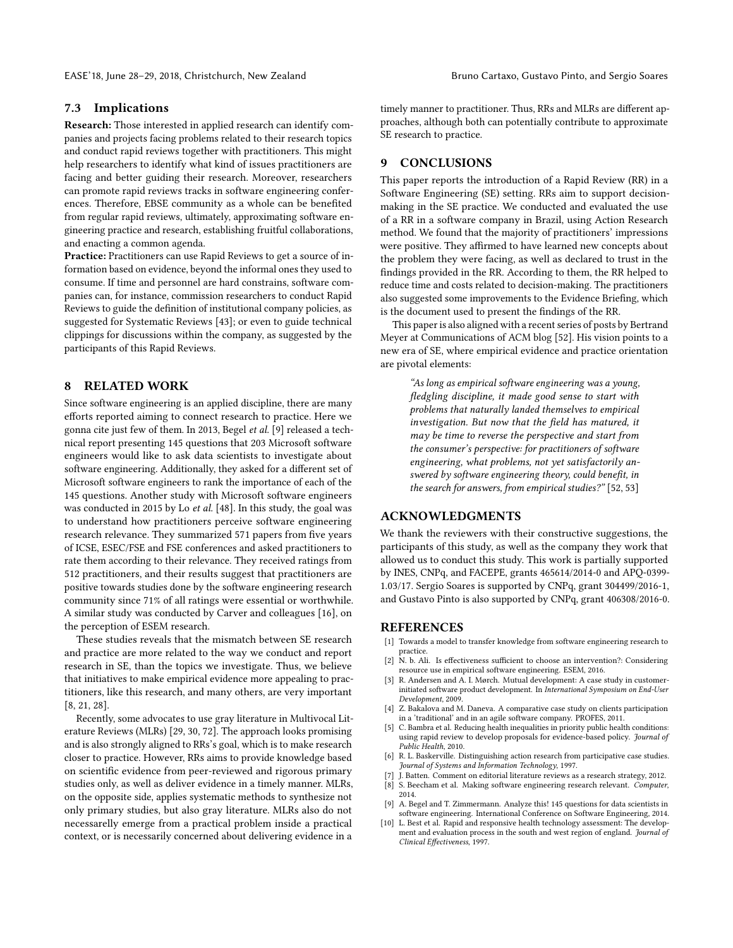# <span id="page-9-6"></span>7.3 Implications

Research: Those interested in applied research can identify companies and projects facing problems related to their research topics and conduct rapid reviews together with practitioners. This might help researchers to identify what kind of issues practitioners are facing and better guiding their research. Moreover, researchers can promote rapid reviews tracks in software engineering conferences. Therefore, EBSE community as a whole can be benefited from regular rapid reviews, ultimately, approximating software engineering practice and research, establishing fruitful collaborations, and enacting a common agenda.

Practice: Practitioners can use Rapid Reviews to get a source of information based on evidence, beyond the informal ones they used to consume. If time and personnel are hard constrains, software companies can, for instance, commission researchers to conduct Rapid Reviews to guide the definition of institutional company policies, as suggested for Systematic Reviews [\[43\]](#page-10-58); or even to guide technical clippings for discussions within the company, as suggested by the participants of this Rapid Reviews.

#### 8 RELATED WORK

Since software engineering is an applied discipline, there are many efforts reported aiming to connect research to practice. Here we gonna cite just few of them. In 2013, Begel et al. [\[9\]](#page-9-10) released a technical report presenting 145 questions that 203 Microsoft software engineers would like to ask data scientists to investigate about software engineering. Additionally, they asked for a different set of Microsoft software engineers to rank the importance of each of the 145 questions. Another study with Microsoft software engineers was conducted in 2015 by Lo et al. [\[48\]](#page-10-7). In this study, the goal was to understand how practitioners perceive software engineering research relevance. They summarized 571 papers from five years of ICSE, ESEC/FSE and FSE conferences and asked practitioners to rate them according to their relevance. They received ratings from 512 practitioners, and their results suggest that practitioners are positive towards studies done by the software engineering research community since 71% of all ratings were essential or worthwhile. A similar study was conducted by Carver and colleagues [\[16\]](#page-10-59), on the perception of ESEM research.

These studies reveals that the mismatch between SE research and practice are more related to the way we conduct and report research in SE, than the topics we investigate. Thus, we believe that initiatives to make empirical evidence more appealing to practitioners, like this research, and many others, are very important [\[8,](#page-9-4) [21,](#page-10-60) [28\]](#page-10-33).

Recently, some advocates to use gray literature in Multivocal Literature Reviews (MLRs) [\[29,](#page-10-61) [30,](#page-10-62) [72\]](#page-10-63). The approach looks promising and is also strongly aligned to RRs's goal, which is to make research closer to practice. However, RRs aims to provide knowledge based on scientific evidence from peer-reviewed and rigorous primary studies only, as well as deliver evidence in a timely manner. MLRs, on the opposite side, applies systematic methods to synthesize not only primary studies, but also gray literature. MLRs also do not necessarelly emerge from a practical problem inside a practical context, or is necessarily concerned about delivering evidence in a

timely manner to practitioner. Thus, RRs and MLRs are different approaches, although both can potentially contribute to approximate SE research to practice.

# 9 CONCLUSIONS

This paper reports the introduction of a Rapid Review (RR) in a Software Engineering (SE) setting. RRs aim to support decisionmaking in the SE practice. We conducted and evaluated the use of a RR in a software company in Brazil, using Action Research method. We found that the majority of practitioners' impressions were positive. They affirmed to have learned new concepts about the problem they were facing, as well as declared to trust in the findings provided in the RR. According to them, the RR helped to reduce time and costs related to decision-making. The practitioners also suggested some improvements to the Evidence Briefing, which is the document used to present the findings of the RR.

This paper is also aligned with a recent series of posts by Bertrand Meyer at Communications of ACM blog [\[52\]](#page-10-64). His vision points to a new era of SE, where empirical evidence and practice orientation are pivotal elements:

"As long as empirical software engineering was a young, fledgling discipline, it made good sense to start with problems that naturally landed themselves to empirical investigation. But now that the field has matured, it may be time to reverse the perspective and start from the consumer's perspective: for practitioners of software engineering, what problems, not yet satisfactorily answered by software engineering theory, could benefit, in the search for answers, from empirical studies?" [\[52,](#page-10-64) [53\]](#page-10-65)

# ACKNOWLEDGMENTS

We thank the reviewers with their constructive suggestions, the participants of this study, as well as the company they work that allowed us to conduct this study. This work is partially supported by INES, CNPq, and FACEPE, grants 465614/2014-0 and APQ-0399- 1.03/17. Sergio Soares is supported by CNPq, grant 304499/2016-1, and Gustavo Pinto is also supported by CNPq, grant 406308/2016-0.

# REFERENCES

- <span id="page-9-1"></span>[1] Towards a model to transfer knowledge from software engineering research to practice.
- <span id="page-9-9"></span>[2] N. b. Ali. Is effectiveness sufficient to choose an intervention?: Considering resource use in empirical software engineering. ESEM, 2016.
- <span id="page-9-8"></span>R. Andersen and A. I. Mørch. Mutual development: A case study in customerinitiated software product development. In International Symposium on End-User Development, 2009.
- <span id="page-9-7"></span>[4] Z. Bakalova and M. Daneva. A comparative case study on clients participation in a 'traditional' and in an agile software company. PROFES, 2011.
- <span id="page-9-3"></span>[5] C. Bambra et al. Reducing health inequalities in priority public health conditions: using rapid review to develop proposals for evidence-based policy. Journal of Public Health, 2010.
- <span id="page-9-5"></span>[6] R. L. Baskerville. Distinguishing action research from participative case studies. Journal of Systems and Information Technology, 1997.
- <span id="page-9-4"></span><span id="page-9-2"></span>[7] J. Batten. Comment on editorial literature reviews as a research strategy, 2012.<br>[8] S. Beecham et al. Making software engineering research relevant. Computer S. Beecham et al. Making software engineering research relevant. Computer, 2014.
- <span id="page-9-10"></span>[9] A. Begel and T. Zimmermann. Analyze this! 145 questions for data scientists in software engineering. International Conference on Software Engineering, 2014.
- <span id="page-9-0"></span>[10] L. Best et al. Rapid and responsive health technology assessment: The development and evaluation process in the south and west region of england. Journal of Clinical Effectiveness, 1997.